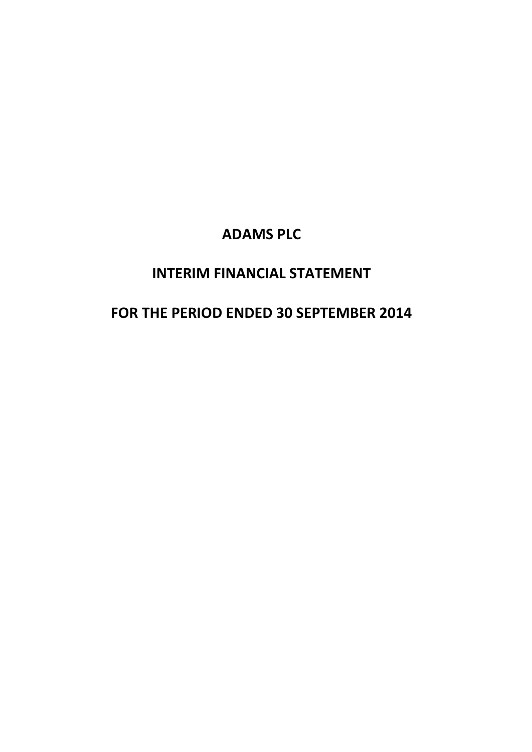## **INTERIM FINANCIAL STATEMENT**

# **FOR THE PERIOD ENDED 30 SEPTEMBER 2014**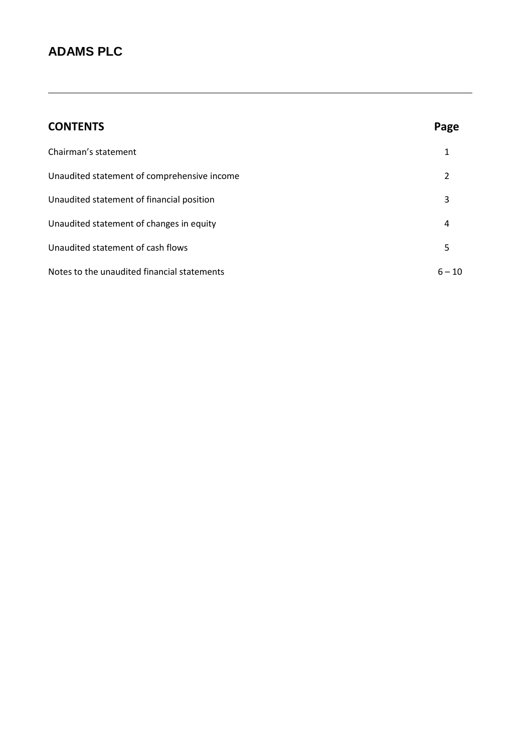| <b>CONTENTS</b>                             | Page     |
|---------------------------------------------|----------|
| Chairman's statement                        | 1        |
| Unaudited statement of comprehensive income | 2        |
| Unaudited statement of financial position   | 3        |
| Unaudited statement of changes in equity    | 4        |
| Unaudited statement of cash flows           | 5        |
| Notes to the unaudited financial statements | $6 - 10$ |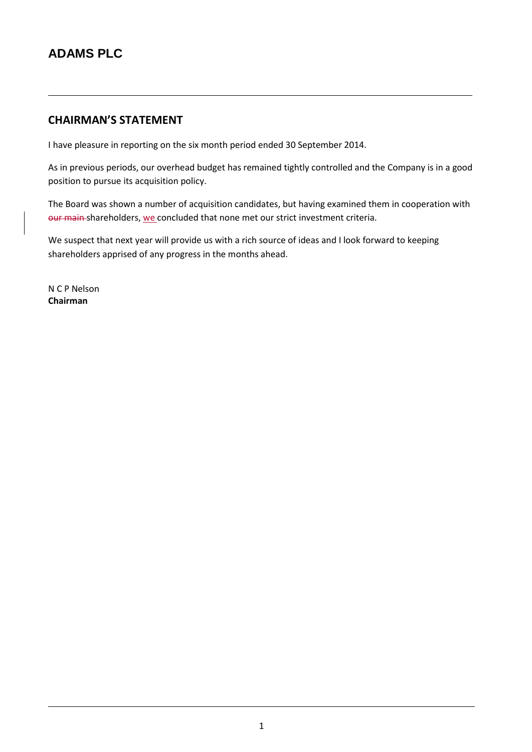### **CHAIRMAN'S STATEMENT**

I have pleasure in reporting on the six month period ended 30 September 2014.

As in previous periods, our overhead budget has remained tightly controlled and the Company is in a good position to pursue its acquisition policy.

The Board was shown a number of acquisition candidates, but having examined them in cooperation with our main-shareholders, we concluded that none met our strict investment criteria.

We suspect that next year will provide us with a rich source of ideas and I look forward to keeping shareholders apprised of any progress in the months ahead.

N C P Nelson **Chairman**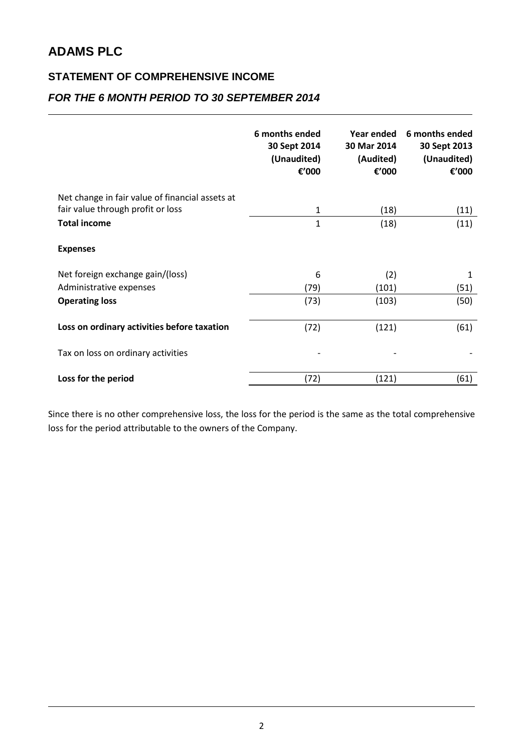### **STATEMENT OF COMPREHENSIVE INCOME**

### *FOR THE 6 MONTH PERIOD TO 30 SEPTEMBER 2014*

|                                                 | 6 months ended<br>30 Sept 2014<br>(Unaudited)<br>€'000 | Year ended<br>30 Mar 2014<br>(Audited)<br>€'000 | 6 months ended<br>30 Sept 2013<br>(Unaudited)<br>€'000 |
|-------------------------------------------------|--------------------------------------------------------|-------------------------------------------------|--------------------------------------------------------|
| Net change in fair value of financial assets at |                                                        |                                                 |                                                        |
| fair value through profit or loss               | 1                                                      | (18)                                            | (11)                                                   |
| <b>Total income</b>                             | $\mathbf{1}$                                           | (18)                                            | (11)                                                   |
| <b>Expenses</b>                                 |                                                        |                                                 |                                                        |
| Net foreign exchange gain/(loss)                | 6                                                      | (2)                                             | 1                                                      |
| Administrative expenses                         | (79)                                                   | (101)                                           | (51)                                                   |
| <b>Operating loss</b>                           | (73)                                                   | (103)                                           | (50)                                                   |
| Loss on ordinary activities before taxation     | (72)                                                   | (121)                                           | (61)                                                   |
| Tax on loss on ordinary activities              |                                                        |                                                 |                                                        |
| Loss for the period                             | (72)                                                   | (121)                                           | (61)                                                   |

Since there is no other comprehensive loss, the loss for the period is the same as the total comprehensive loss for the period attributable to the owners of the Company.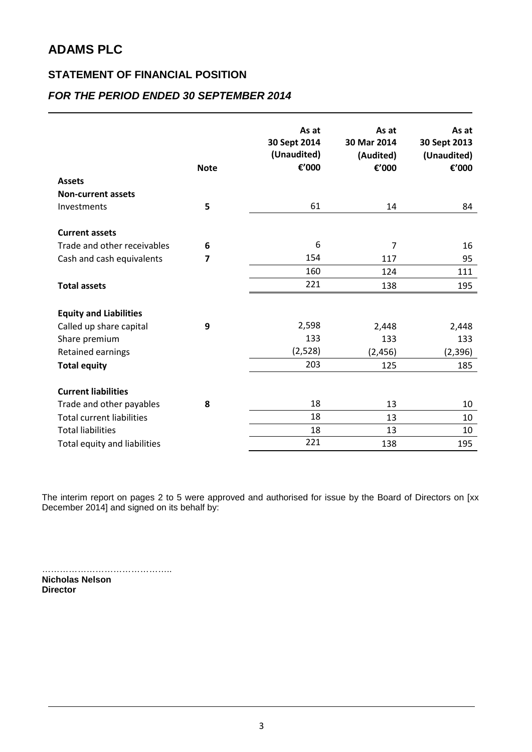### **STATEMENT OF FINANCIAL POSITION**

### *FOR THE PERIOD ENDED 30 SEPTEMBER 2014*

|                                  | <b>Note</b> | As at<br>30 Sept 2014<br>(Unaudited)<br>€'000 | As at<br>30 Mar 2014<br>(Audited)<br>€'000 | As at<br>30 Sept 2013<br>(Unaudited)<br>€'000 |
|----------------------------------|-------------|-----------------------------------------------|--------------------------------------------|-----------------------------------------------|
| <b>Assets</b>                    |             |                                               |                                            |                                               |
| <b>Non-current assets</b>        |             |                                               |                                            |                                               |
| Investments                      | 5           | 61                                            | 14                                         | 84                                            |
| <b>Current assets</b>            |             |                                               |                                            |                                               |
| Trade and other receivables      | 6           | 6                                             | 7                                          | 16                                            |
| Cash and cash equivalents        | 7           | 154                                           | 117                                        | 95                                            |
|                                  |             | 160                                           | 124                                        | 111                                           |
| <b>Total assets</b>              |             | 221                                           | 138                                        | 195                                           |
| <b>Equity and Liabilities</b>    |             |                                               |                                            |                                               |
| Called up share capital          | 9           | 2,598                                         | 2,448                                      | 2,448                                         |
| Share premium                    |             | 133                                           | 133                                        | 133                                           |
| Retained earnings                |             | (2,528)                                       | (2, 456)                                   | (2, 396)                                      |
| <b>Total equity</b>              |             | 203                                           | 125                                        | 185                                           |
| <b>Current liabilities</b>       |             |                                               |                                            |                                               |
| Trade and other payables         | 8           | 18                                            | 13                                         | 10                                            |
| <b>Total current liabilities</b> |             | 18                                            | 13                                         | 10                                            |
| <b>Total liabilities</b>         |             | 18                                            | 13                                         | 10                                            |
| Total equity and liabilities     |             | 221                                           | 138                                        | 195                                           |

The interim report on pages 2 to 5 were approved and authorised for issue by the Board of Directors on [xx December 2014] and signed on its behalf by:

…………………………………….. **Nicholas Nelson Director**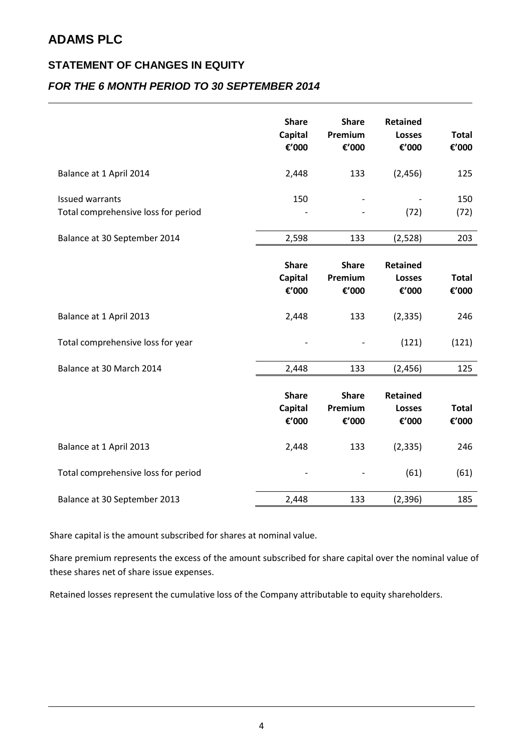### **STATEMENT OF CHANGES IN EQUITY**

### *FOR THE 6 MONTH PERIOD TO 30 SEPTEMBER 2014*

|                                                               | <b>Share</b><br><b>Capital</b><br>€'000 | <b>Share</b><br>Premium<br>€'000 | <b>Retained</b><br><b>Losses</b><br>€'000 | <b>Total</b><br>€'000 |
|---------------------------------------------------------------|-----------------------------------------|----------------------------------|-------------------------------------------|-----------------------|
| Balance at 1 April 2014                                       | 2,448                                   | 133                              | (2, 456)                                  | 125                   |
| <b>Issued warrants</b><br>Total comprehensive loss for period | 150                                     |                                  | (72)                                      | 150<br>(72)           |
| Balance at 30 September 2014                                  | 2,598                                   | 133                              | (2,528)                                   | 203                   |
|                                                               | <b>Share</b><br><b>Capital</b>          | <b>Share</b><br>Premium          | <b>Retained</b><br><b>Losses</b>          | <b>Total</b>          |
|                                                               | €'000                                   | €'000                            | €'000                                     | €'000                 |
| Balance at 1 April 2013                                       | 2,448                                   | 133                              | (2, 335)                                  | 246                   |
| Total comprehensive loss for year                             |                                         |                                  | (121)                                     | (121)                 |
| Balance at 30 March 2014                                      | 2,448                                   | 133                              | (2, 456)                                  | 125                   |
|                                                               | <b>Share</b><br>Capital<br>€'000        | <b>Share</b><br>Premium<br>€'000 | <b>Retained</b><br><b>Losses</b><br>€'000 | <b>Total</b><br>€'000 |
| Balance at 1 April 2013                                       | 2,448                                   | 133                              | (2, 335)                                  | 246                   |
| Total comprehensive loss for period                           |                                         |                                  | (61)                                      | (61)                  |
| Balance at 30 September 2013                                  | 2,448                                   | 133                              | (2, 396)                                  | 185                   |

Share capital is the amount subscribed for shares at nominal value.

Share premium represents the excess of the amount subscribed for share capital over the nominal value of these shares net of share issue expenses.

Retained losses represent the cumulative loss of the Company attributable to equity shareholders.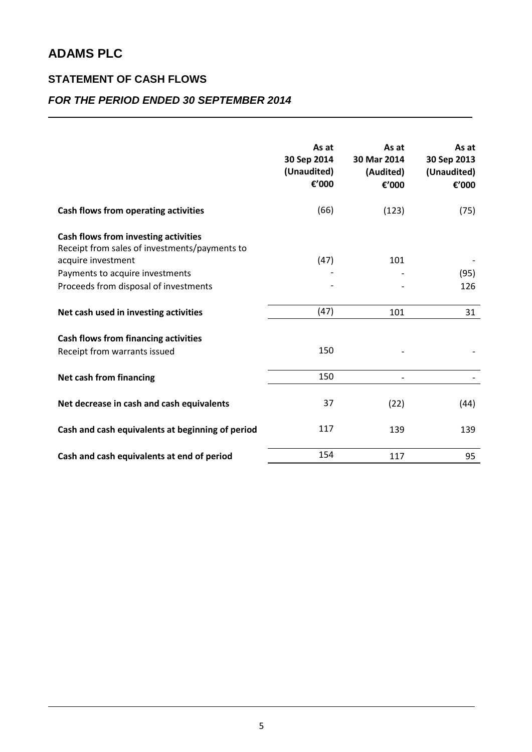## **STATEMENT OF CASH FLOWS**

### *FOR THE PERIOD ENDED 30 SEPTEMBER 2014*

|                                                                                               | As at<br>30 Sep 2014<br>(Unaudited)<br>€'000 | As at<br>30 Mar 2014<br>(Audited)<br>€'000 | As at<br>30 Sep 2013<br>(Unaudited)<br>€'000 |
|-----------------------------------------------------------------------------------------------|----------------------------------------------|--------------------------------------------|----------------------------------------------|
| Cash flows from operating activities                                                          | (66)                                         | (123)                                      | (75)                                         |
| Cash flows from investing activities<br>Receipt from sales of investments/payments to         |                                              |                                            |                                              |
| acquire investment                                                                            | (47)                                         | 101                                        |                                              |
| Payments to acquire investments                                                               |                                              |                                            | (95)                                         |
| Proceeds from disposal of investments                                                         |                                              |                                            | 126                                          |
|                                                                                               |                                              |                                            |                                              |
| Net cash used in investing activities                                                         | (47)                                         | 101                                        | 31                                           |
| <b>Cash flows from financing activities</b><br>Receipt from warrants issued                   | 150                                          |                                            |                                              |
| Net cash from financing                                                                       | 150                                          |                                            |                                              |
| Net decrease in cash and cash equivalents<br>Cash and cash equivalents at beginning of period | 37<br>117                                    | (22)<br>139                                | (44)<br>139                                  |
|                                                                                               |                                              |                                            |                                              |
| Cash and cash equivalents at end of period                                                    | 154                                          | 117                                        | 95                                           |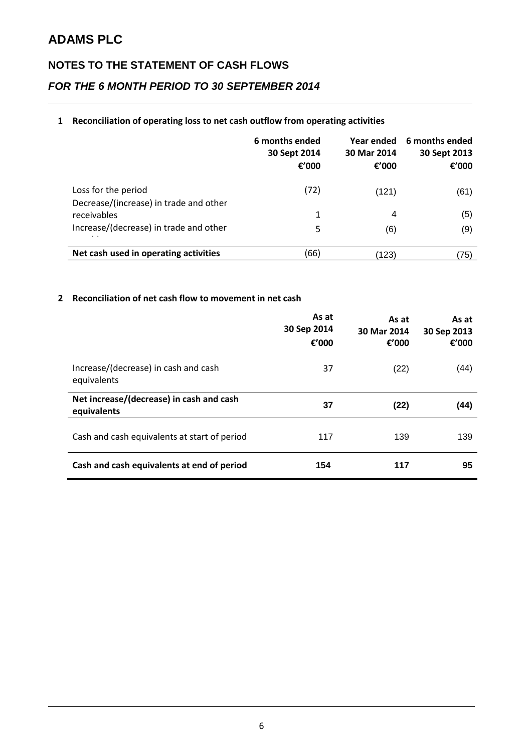# **NOTES TO THE STATEMENT OF CASH FLOWS**

### *FOR THE 6 MONTH PERIOD TO 30 SEPTEMBER 2014*

#### **1 Reconciliation of operating loss to net cash outflow from operating activities**

|                                                               | 6 months ended<br>30 Sept 2014<br>€ $'000$ | Year ended<br>30 Mar 2014<br>€ $'000$ | 6 months ended<br>30 Sept 2013<br>€ $'000$ |
|---------------------------------------------------------------|--------------------------------------------|---------------------------------------|--------------------------------------------|
| Loss for the period<br>Decrease/(increase) in trade and other | (72)                                       | (121)                                 | (61)                                       |
| receivables                                                   | 1                                          | 4                                     | (5)                                        |
| Increase/(decrease) in trade and other                        | 5                                          | (6)                                   | (9)                                        |
| Net cash used in operating activities                         | (66)                                       | (123)                                 | 75)                                        |

#### **2 Reconciliation of net cash flow to movement in net cash**

|                                                         | As at<br>30 Sep 2014<br>€'000 | As at<br>30 Mar 2014<br>€'000 | As at<br>30 Sep 2013<br>€'000 |
|---------------------------------------------------------|-------------------------------|-------------------------------|-------------------------------|
| Increase/(decrease) in cash and cash<br>equivalents     | 37                            | (22)                          | (44)                          |
| Net increase/(decrease) in cash and cash<br>equivalents | 37                            | (22)                          | (44)                          |
| Cash and cash equivalents at start of period            | 117                           | 139                           | 139                           |
| Cash and cash equivalents at end of period              | 154                           | 117                           | 95                            |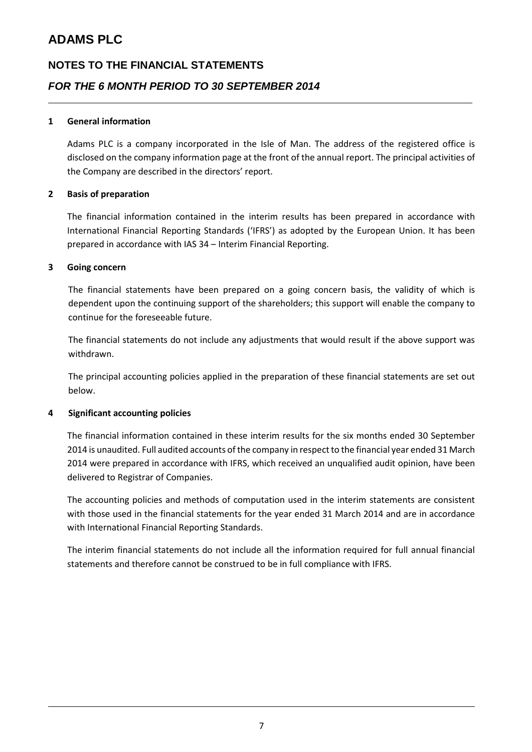# **NOTES TO THE FINANCIAL STATEMENTS** *FOR THE 6 MONTH PERIOD TO 30 SEPTEMBER 2014*

#### **1 General information**

Adams PLC is a company incorporated in the Isle of Man. The address of the registered office is disclosed on the company information page at the front of the annual report. The principal activities of the Company are described in the directors' report.

#### **2 Basis of preparation**

The financial information contained in the interim results has been prepared in accordance with International Financial Reporting Standards ('IFRS') as adopted by the European Union. It has been prepared in accordance with IAS 34 – Interim Financial Reporting.

#### **3 Going concern**

The financial statements have been prepared on a going concern basis, the validity of which is dependent upon the continuing support of the shareholders; this support will enable the company to continue for the foreseeable future.

The financial statements do not include any adjustments that would result if the above support was withdrawn.

The principal accounting policies applied in the preparation of these financial statements are set out below.

#### **4 Significant accounting policies**

The financial information contained in these interim results for the six months ended 30 September 2014 is unaudited. Full audited accounts of the company in respect to the financial year ended 31 March 2014 were prepared in accordance with IFRS, which received an unqualified audit opinion, have been delivered to Registrar of Companies.

The accounting policies and methods of computation used in the interim statements are consistent with those used in the financial statements for the year ended 31 March 2014 and are in accordance with International Financial Reporting Standards.

The interim financial statements do not include all the information required for full annual financial statements and therefore cannot be construed to be in full compliance with IFRS.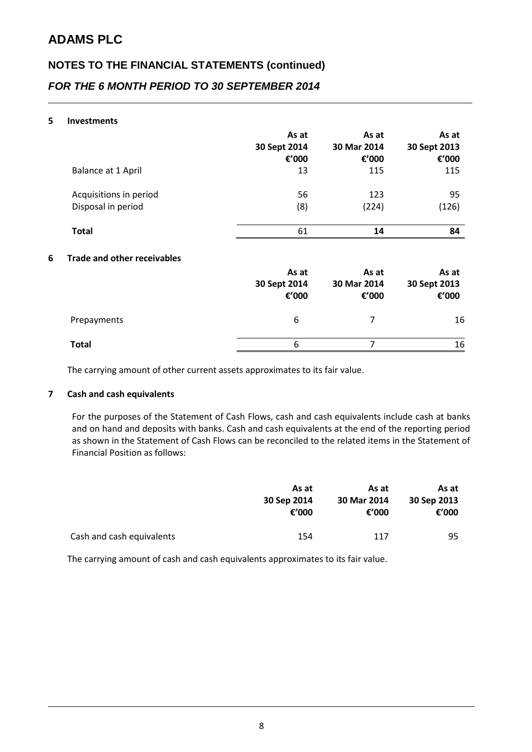# **NOTES TO THE FINANCIAL STATEMENTS (continued)** *FOR THE 6 MONTH PERIOD TO 30 SEPTEMBER 2014*

#### **5 Investments**

|   |                                    | As at<br>30 Sept 2014<br>€'000 | As at<br>30 Mar 2014<br>€'000 | As at<br>30 Sept 2013<br>€'000 |
|---|------------------------------------|--------------------------------|-------------------------------|--------------------------------|
|   | Balance at 1 April                 | 13                             | 115                           | 115                            |
|   | Acquisitions in period             | 56                             | 123                           | 95                             |
|   | Disposal in period                 | (8)                            | (224)                         | (126)                          |
|   | <b>Total</b>                       | 61                             | 14                            | 84                             |
| 6 | <b>Trade and other receivables</b> |                                |                               |                                |
|   |                                    | As at<br>30 Sept 2014<br>€'000 | As at<br>30 Mar 2014<br>€'000 | As at<br>30 Sept 2013<br>€'000 |
|   | Prepayments                        | 6                              | 7                             | 16                             |
|   | <b>Total</b>                       | 6                              | 7                             | 16                             |

The carrying amount of other current assets approximates to its fair value.

#### **7 Cash and cash equivalents**

For the purposes of the Statement of Cash Flows, cash and cash equivalents include cash at banks and on hand and deposits with banks. Cash and cash equivalents at the end of the reporting period as shown in the Statement of Cash Flows can be reconciled to the related items in the Statement of Financial Position as follows:

|                           | As at       | As at       |             |  | As at |
|---------------------------|-------------|-------------|-------------|--|-------|
|                           | 30 Sep 2014 | 30 Mar 2014 | 30 Sep 2013 |  |       |
|                           | €'000       | €'000       | €'000       |  |       |
|                           |             |             |             |  |       |
| Cash and cash equivalents | 154         | 117         | 95          |  |       |

The carrying amount of cash and cash equivalents approximates to its fair value.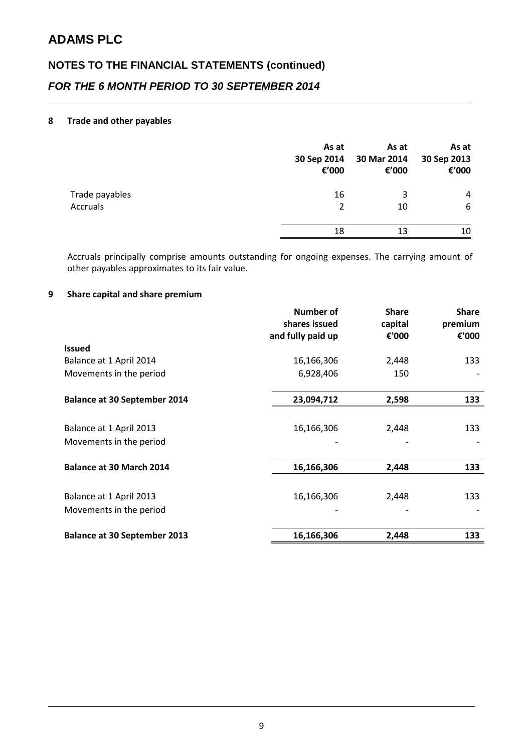# **NOTES TO THE FINANCIAL STATEMENTS (continued)** *FOR THE 6 MONTH PERIOD TO 30 SEPTEMBER 2014*

#### **8 Trade and other payables**

|                 | As at<br>30 Sep 2014<br>€'000 | As at<br>30 Mar 2014<br>€'000 | As at<br>30 Sep 2013<br>€'000 |
|-----------------|-------------------------------|-------------------------------|-------------------------------|
| Trade payables  | 16                            | 3                             | 4                             |
| <b>Accruals</b> | 2                             | 10                            | 6                             |
|                 | 18                            | 13                            | 10                            |

Accruals principally comprise amounts outstanding for ongoing expenses. The carrying amount of other payables approximates to its fair value.

#### **9 Share capital and share premium**

|                                     | Number of<br>shares issued<br>and fully paid up | <b>Share</b><br>capital<br>€'000 | <b>Share</b><br>premium<br>€'000 |
|-------------------------------------|-------------------------------------------------|----------------------------------|----------------------------------|
| <b>Issued</b>                       |                                                 |                                  |                                  |
| Balance at 1 April 2014             | 16,166,306                                      | 2,448                            | 133                              |
| Movements in the period             | 6,928,406                                       | 150                              |                                  |
|                                     |                                                 |                                  |                                  |
| <b>Balance at 30 September 2014</b> | 23,094,712                                      | 2,598                            | 133                              |
| Balance at 1 April 2013             | 16,166,306                                      | 2,448                            | 133                              |
| Movements in the period             |                                                 |                                  |                                  |
|                                     |                                                 |                                  |                                  |
| <b>Balance at 30 March 2014</b>     | 16,166,306                                      | 2,448                            | 133                              |
|                                     |                                                 |                                  |                                  |
| Balance at 1 April 2013             | 16,166,306                                      | 2,448                            | 133                              |
| Movements in the period             |                                                 |                                  |                                  |
| <b>Balance at 30 September 2013</b> | 16,166,306                                      | 2,448                            | 133                              |